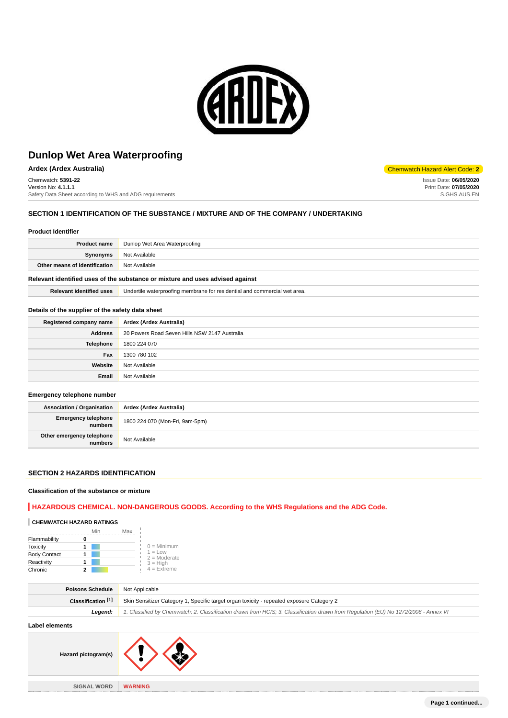

**Ardex (Ardex Australia)** Chemwatch Hazard Alert Code: **2**

Chemwatch: **5391-22** Version No: **4.1.1.1** Safety Data Sheet according to WHS and ADG requirements

# **SECTION 1 IDENTIFICATION OF THE SUBSTANCE / MIXTURE AND OF THE COMPANY / UNDERTAKING**

#### **Product Identifier**

| Product name                  | Dunlop Wet Area Waterproofing |
|-------------------------------|-------------------------------|
| Synonyms                      | Not Available                 |
| Other means of identification | Not Available                 |
|                               |                               |

# **Relevant identified uses of the substance or mixture and uses advised against**

**Relevant identified uses** Undertile waterproofing membrane for residential and commercial wet area.

#### **Details of the supplier of the safety data sheet**

| Registered company name | Ardex (Ardex Australia)                       |
|-------------------------|-----------------------------------------------|
| <b>Address</b>          | 20 Powers Road Seven Hills NSW 2147 Australia |
| <b>Telephone</b>        | 1800 224 070                                  |
| Fax                     | 1300 780 102                                  |
| Website                 | Not Available                                 |
| Email                   | Not Available                                 |

#### **Emergency telephone number**

| <b>Association / Organisation</b>            | Ardex (Ardex Australia)         |
|----------------------------------------------|---------------------------------|
| <b>Emergency telephone</b><br><b>numbers</b> | 1800 224 070 (Mon-Fri, 9am-5pm) |
| Other emergency telephone<br>numbers         | Not Available                   |

### **SECTION 2 HAZARDS IDENTIFICATION**

#### **Classification of the substance or mixture**

# **HAZARDOUS CHEMICAL. NON-DANGEROUS GOODS. According to the WHS Regulations and the ADG Code.**

# **CHEMWATCH HAZARD RATINGS**

|                     | Min | Max |                             |
|---------------------|-----|-----|-----------------------------|
| Flammability        |     |     |                             |
| <b>Toxicity</b>     |     |     | $0 =$ Minimum               |
| <b>Body Contact</b> |     |     | $1 = Low$<br>$2 =$ Moderate |
| Reactivity          |     |     | $3 = H$ igh                 |
| Chronic             |     |     | $4$ = Extreme               |

| Classification [1]<br>Skin Sensitizer Category 1, Specific target organ toxicity - repeated exposure Category 2 |                                                                                                                                     |
|-----------------------------------------------------------------------------------------------------------------|-------------------------------------------------------------------------------------------------------------------------------------|
| Leaend:                                                                                                         | 1. Classified by Chemwatch; 2. Classification drawn from HCIS; 3. Classification drawn from Regulation (EU) No 1272/2008 - Annex VI |

# **Label elements**

| Hazard pictogram(s) |                |
|---------------------|----------------|
|                     |                |
| <b>SIGNAL WORD</b>  | <b>WARNING</b> |

Issue Date: **06/05/2020** Print Date: **07/05/2020** S.GHS.AUS.EN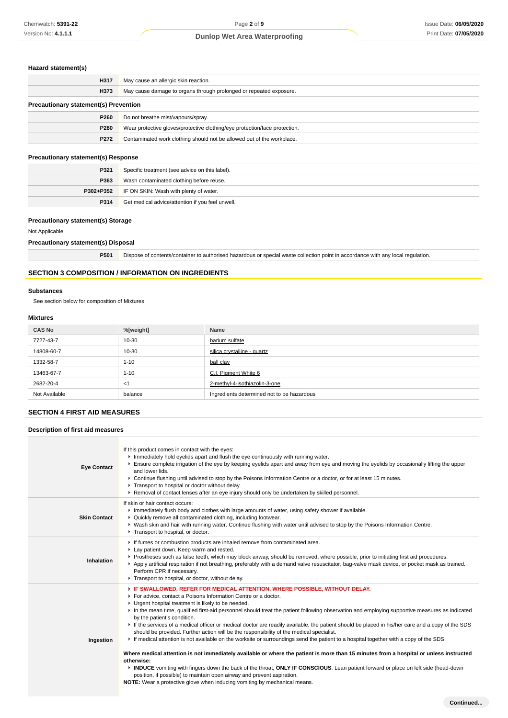# **Hazard statement(s)**

| H317                                         | May cause an allergic skin reaction.                                       |  |
|----------------------------------------------|----------------------------------------------------------------------------|--|
| H373                                         | May cause damage to organs through prolonged or repeated exposure.         |  |
| <b>Precautionary statement(s) Prevention</b> |                                                                            |  |
| P260                                         | Do not breathe mist/vapours/spray.                                         |  |
| P280                                         | Wear protective gloves/protective clothing/eye protection/face protection. |  |
| P272                                         | Contaminated work clothing should not be allowed out of the workplace.     |  |

# **Precautionary statement(s) Response**

| P321 | Specific treatment (see advice on this label).          |
|------|---------------------------------------------------------|
| P363 | Wash contaminated clothing before reuse.                |
|      | <b>P302+P352</b> IF ON SKIN: Wash with plenty of water. |
| P314 | Get medical advice/attention if you feel unwell.        |

# **Precautionary statement(s) Storage**

Not Applicable

# **Precautionary statement(s) Disposal**

**P501** Dispose of contents/container to authorised hazardous or special waste collection point in accordance with any local regulation.

# **SECTION 3 COMPOSITION / INFORMATION ON INGREDIENTS**

#### **Substances**

See section below for composition of Mixtures

#### **Mixtures**

| <b>CAS No</b> | %[weight] | Name                                       |
|---------------|-----------|--------------------------------------------|
| 7727-43-7     | 10-30     | barium sulfate                             |
| 14808-60-7    | 10-30     | silica crystalline - quartz                |
| 1332-58-7     | $1 - 10$  | ball clay                                  |
| 13463-67-7    | $1 - 10$  | C.I. Piament White 6                       |
| 2682-20-4     | $<$ 1     | 2-methyl-4-isothiazolin-3-one              |
| Not Available | balance   | Ingredients determined not to be hazardous |

# **SECTION 4 FIRST AID MEASURES**

# **Description of first aid measures**

| <b>Eye Contact</b>  | If this product comes in contact with the eyes:<br>Immediately hold eyelids apart and flush the eye continuously with running water.<br>Ensure complete irrigation of the eye by keeping eyelids apart and away from eye and moving the eyelids by occasionally lifting the upper<br>and lower lids.<br>▶ Continue flushing until advised to stop by the Poisons Information Centre or a doctor, or for at least 15 minutes.<br>Transport to hospital or doctor without delay.<br>▶ Removal of contact lenses after an eye injury should only be undertaken by skilled personnel.                                                                                                                                                                                                                                                                                                                                                                                                                                                                                                                                                                                                                                                        |
|---------------------|------------------------------------------------------------------------------------------------------------------------------------------------------------------------------------------------------------------------------------------------------------------------------------------------------------------------------------------------------------------------------------------------------------------------------------------------------------------------------------------------------------------------------------------------------------------------------------------------------------------------------------------------------------------------------------------------------------------------------------------------------------------------------------------------------------------------------------------------------------------------------------------------------------------------------------------------------------------------------------------------------------------------------------------------------------------------------------------------------------------------------------------------------------------------------------------------------------------------------------------|
| <b>Skin Contact</b> | If skin or hair contact occurs:<br>Immediately flush body and clothes with large amounts of water, using safety shower if available.<br>• Quickly remove all contaminated clothing, including footwear.<br>▶ Wash skin and hair with running water. Continue flushing with water until advised to stop by the Poisons Information Centre.<br>Transport to hospital, or doctor.                                                                                                                                                                                                                                                                                                                                                                                                                                                                                                                                                                                                                                                                                                                                                                                                                                                           |
| Inhalation          | If fumes or combustion products are inhaled remove from contaminated area.<br>Lay patient down. Keep warm and rested.<br>Prostheses such as false teeth, which may block airway, should be removed, where possible, prior to initiating first aid procedures.<br>▶ Apply artificial respiration if not breathing, preferably with a demand valve resuscitator, bag-valve mask device, or pocket mask as trained.<br>Perform CPR if necessary.<br>Transport to hospital, or doctor, without delay.                                                                                                                                                                                                                                                                                                                                                                                                                                                                                                                                                                                                                                                                                                                                        |
| Ingestion           | F IF SWALLOWED, REFER FOR MEDICAL ATTENTION, WHERE POSSIBLE, WITHOUT DELAY.<br>For advice, contact a Poisons Information Centre or a doctor.<br>• Urgent hospital treatment is likely to be needed.<br>In the mean time, qualified first-aid personnel should treat the patient following observation and employing supportive measures as indicated<br>by the patient's condition.<br>If the services of a medical officer or medical doctor are readily available, the patient should be placed in his/her care and a copy of the SDS<br>should be provided. Further action will be the responsibility of the medical specialist.<br>If medical attention is not available on the worksite or surroundings send the patient to a hospital together with a copy of the SDS.<br>Where medical attention is not immediately available or where the patient is more than 15 minutes from a hospital or unless instructed<br>otherwise:<br>INDUCE vomiting with fingers down the back of the throat, ONLY IF CONSCIOUS. Lean patient forward or place on left side (head-down<br>position, if possible) to maintain open airway and prevent aspiration.<br><b>NOTE:</b> Wear a protective glove when inducing vomiting by mechanical means. |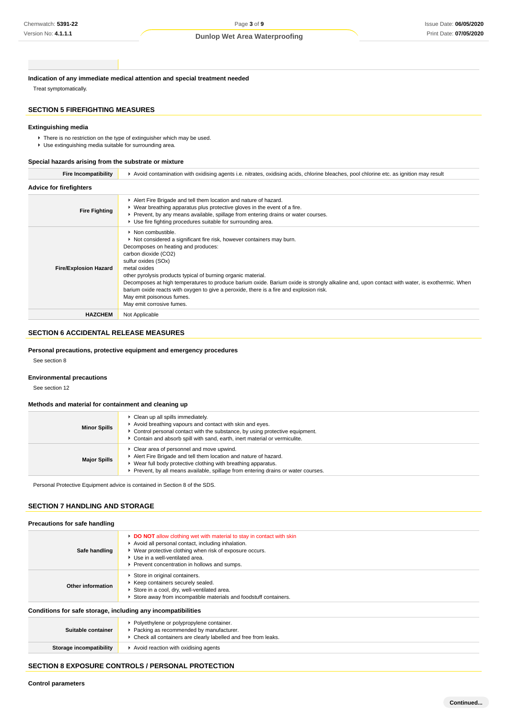**Indication of any immediate medical attention and special treatment needed**

Treat symptomatically.

# **SECTION 5 FIREFIGHTING MEASURES**

# **Extinguishing media**

There is no restriction on the type of extinguisher which may be used.

Use extinguishing media suitable for surrounding area.

# **Special hazards arising from the substrate or mixture**

| <b>Fire Incompatibility</b>    | ▶ Avoid contamination with oxidising agents i.e. nitrates, oxidising acids, chlorine bleaches, pool chlorine etc. as ignition may result                                                                                                                                                                                                                                                                                                                                                                                                                                                   |
|--------------------------------|--------------------------------------------------------------------------------------------------------------------------------------------------------------------------------------------------------------------------------------------------------------------------------------------------------------------------------------------------------------------------------------------------------------------------------------------------------------------------------------------------------------------------------------------------------------------------------------------|
| <b>Advice for firefighters</b> |                                                                                                                                                                                                                                                                                                                                                                                                                                                                                                                                                                                            |
| <b>Fire Fighting</b>           | Alert Fire Brigade and tell them location and nature of hazard.<br>$\blacktriangleright$ Wear breathing apparatus plus protective gloves in the event of a fire.<br>► Prevent, by any means available, spillage from entering drains or water courses.<br>▶ Use fire fighting procedures suitable for surrounding area.                                                                                                                                                                                                                                                                    |
| <b>Fire/Explosion Hazard</b>   | $\blacktriangleright$ Non combustible.<br>Not considered a significant fire risk, however containers may burn.<br>Decomposes on heating and produces:<br>carbon dioxide (CO2)<br>sulfur oxides (SOx)<br>metal oxides<br>other pyrolysis products typical of burning organic material.<br>Decomposes at high temperatures to produce barium oxide. Barium oxide is strongly alkaline and, upon contact with water, is exothermic. When<br>barium oxide reacts with oxygen to give a peroxide, there is a fire and explosion risk.<br>May emit poisonous fumes.<br>May emit corrosive fumes. |
| <b>HAZCHEM</b>                 | Not Applicable                                                                                                                                                                                                                                                                                                                                                                                                                                                                                                                                                                             |

# **SECTION 6 ACCIDENTAL RELEASE MEASURES**

# **Personal precautions, protective equipment and emergency procedures**

See section 8

# **Environmental precautions**

See section 12

#### **Methods and material for containment and cleaning up**

| <b>Minor Spills</b> | Clean up all spills immediately.<br>Avoid breathing vapours and contact with skin and eyes.<br>$\triangleright$ Control personal contact with the substance, by using protective equipment.<br>Contain and absorb spill with sand, earth, inert material or vermiculite. |
|---------------------|--------------------------------------------------------------------------------------------------------------------------------------------------------------------------------------------------------------------------------------------------------------------------|
| <b>Major Spills</b> | • Clear area of personnel and move upwind.<br>Alert Fire Brigade and tell them location and nature of hazard.<br>▶ Wear full body protective clothing with breathing apparatus.<br>▶ Prevent, by all means available, spillage from entering drains or water courses.    |

Personal Protective Equipment advice is contained in Section 8 of the SDS.

# **SECTION 7 HANDLING AND STORAGE**

| Safe handling                                                | <b>DO NOT</b> allow clothing wet with material to stay in contact with skin<br>Avoid all personal contact, including inhalation.<br>▶ Wear protective clothing when risk of exposure occurs.<br>▶ Use in a well-ventilated area.<br>Prevent concentration in hollows and sumps. |
|--------------------------------------------------------------|---------------------------------------------------------------------------------------------------------------------------------------------------------------------------------------------------------------------------------------------------------------------------------|
| Other information                                            | Store in original containers.<br>Keep containers securely sealed.<br>Store in a cool, dry, well-ventilated area.<br>Store away from incompatible materials and foodstuff containers.                                                                                            |
| Conditions for safe storage, including any incompatibilities |                                                                                                                                                                                                                                                                                 |
| Suitable container                                           | ▶ Polyethylene or polypropylene container.<br>$\blacktriangleright$ Packing as recommended by manufacturer                                                                                                                                                                      |

| Suitable container      | • Polyethylene or polypropylene container.<br>▶ Packing as recommended by manufacturer.<br>▶ Check all containers are clearly labelled and free from leaks. |
|-------------------------|-------------------------------------------------------------------------------------------------------------------------------------------------------------|
| Storage incompatibility | ▶ Avoid reaction with oxidising agents                                                                                                                      |

# **SECTION 8 EXPOSURE CONTROLS / PERSONAL PROTECTION**

 $\overline{\phantom{a}}$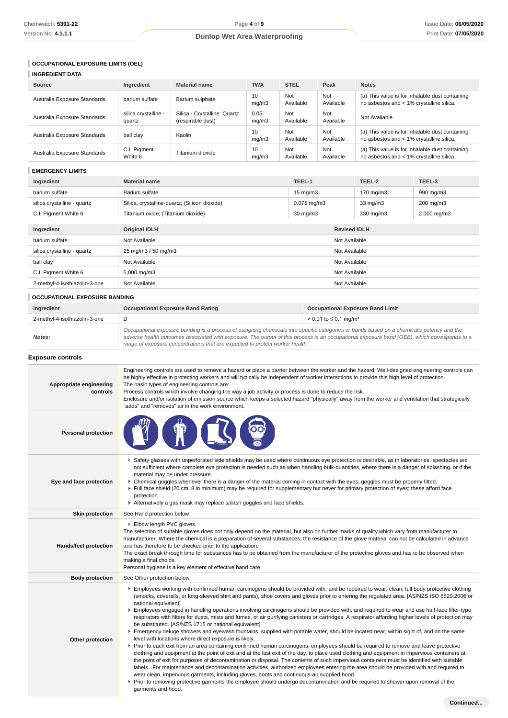# **OCCUPATIONAL EXPOSURE LIMITS (OEL)**

| <b>INGREDIENT DATA</b>       |                                |                                                   |               |                  |                  |                                                                                             |
|------------------------------|--------------------------------|---------------------------------------------------|---------------|------------------|------------------|---------------------------------------------------------------------------------------------|
| Source                       | Ingredient                     | <b>Material name</b>                              | <b>TWA</b>    | <b>STEL</b>      | Peak             | <b>Notes</b>                                                                                |
| Australia Exposure Standards | barium sulfate                 | Barium sulphate                                   | 10<br>mq/m3   | Not<br>Available | Not<br>Available | (a) This value is for inhalable dust containing<br>no asbestos and < 1% crystalline silica. |
| Australia Exposure Standards | silica crystalline -<br>quartz | Silica - Crystalline: Quartz<br>(respirable dust) | 0.05<br>mq/m3 | Not<br>Available | Not<br>Available | Not Available                                                                               |
| Australia Exposure Standards | ball clay                      | Kaolin                                            | 10<br>mq/m3   | Not<br>Available | Not<br>Available | (a) This value is for inhalable dust containing<br>no asbestos and < 1% crystalline silica. |
| Australia Exposure Standards | C.I. Pigment<br>White 6        | Titanium dioxide                                  | 10<br>mq/m3   | Not<br>Available | Not<br>Available | (a) This value is for inhalable dust containing<br>no asbestos and < 1% crystalline silica. |

# **EMERGENCY LIMITS**

| Ingredient                    | <b>Material name</b>                          | TEEL-1            |                     | TEEL-2            | TEEL-3      |
|-------------------------------|-----------------------------------------------|-------------------|---------------------|-------------------|-------------|
| barium sulfate                | Barium sulfate                                | $15 \text{ mg/m}$ |                     | 170 mg/m3         | 990 mg/m3   |
| silica crystalline - quartz   | Silica, crystalline-quartz; (Silicon dioxide) | $0.075$ mg/m $3$  |                     | $33 \text{ mg/m}$ | 200 mg/m3   |
| C.I. Pigment White 6          | Titanium oxide; (Titanium dioxide)            | $30 \text{ mg/m}$ |                     | 330 mg/m3         | 2,000 mg/m3 |
|                               |                                               |                   |                     |                   |             |
| Ingredient                    | <b>Original IDLH</b>                          |                   | <b>Revised IDLH</b> |                   |             |
| barium sulfate                | Not Available                                 |                   |                     | Not Available     |             |
| silica crystalline - quartz   | 25 mg/m3 / 50 mg/m3                           |                   | Not Available       |                   |             |
| ball clay                     | Not Available                                 |                   | Not Available       |                   |             |
| C.I. Pigment White 6          | 5,000 mg/m3                                   |                   | Not Available       |                   |             |
| 2-methyl-4-isothiazolin-3-one | Not Available                                 |                   | Not Available       |                   |             |

# **OCCUPATIONAL EXPOSURE BANDING**

| Ingredient                    | <b>Occupational Exposure Band Rating</b>                                                                                                                                                                                                                                                                                                                                 | <b>Occupational Exposure Band Limit</b> |
|-------------------------------|--------------------------------------------------------------------------------------------------------------------------------------------------------------------------------------------------------------------------------------------------------------------------------------------------------------------------------------------------------------------------|-----------------------------------------|
| 2-methyl-4-isothiazolin-3-one | D                                                                                                                                                                                                                                                                                                                                                                        | > 0.01 to ≤ 0.1 mg/m <sup>3</sup>       |
| Notes:                        | Occupational exposure banding is a process of assigning chemicals into specific categories or bands based on a chemical's potency and the<br>adverse health outcomes associated with exposure. The output of this process is an occupational exposure band (OEB), which corresponds to a<br>range of exposure concentrations that are expected to protect worker health. |                                         |

**Exposure controls**

| Appropriate engineering<br>controls | Engineering controls are used to remove a hazard or place a barrier between the worker and the hazard. Well-designed engineering controls can<br>be highly effective in protecting workers and will typically be independent of worker interactions to provide this high level of protection.<br>The basic types of engineering controls are:<br>Process controls which involve changing the way a job activity or process is done to reduce the risk.<br>Enclosure and/or isolation of emission source which keeps a selected hazard "physically" away from the worker and ventilation that strategically<br>"adds" and "removes" air in the work environment.                                                                                                                                                                                                                                                                                                                                                                                                                                                                                                                                                                                                                                                                                                                                                                                                                                                                                                                                                                                                                                                              |
|-------------------------------------|------------------------------------------------------------------------------------------------------------------------------------------------------------------------------------------------------------------------------------------------------------------------------------------------------------------------------------------------------------------------------------------------------------------------------------------------------------------------------------------------------------------------------------------------------------------------------------------------------------------------------------------------------------------------------------------------------------------------------------------------------------------------------------------------------------------------------------------------------------------------------------------------------------------------------------------------------------------------------------------------------------------------------------------------------------------------------------------------------------------------------------------------------------------------------------------------------------------------------------------------------------------------------------------------------------------------------------------------------------------------------------------------------------------------------------------------------------------------------------------------------------------------------------------------------------------------------------------------------------------------------------------------------------------------------------------------------------------------------|
| <b>Personal protection</b>          |                                                                                                                                                                                                                                                                                                                                                                                                                                                                                                                                                                                                                                                                                                                                                                                                                                                                                                                                                                                                                                                                                                                                                                                                                                                                                                                                                                                                                                                                                                                                                                                                                                                                                                                              |
| Eye and face protection             | ▶ Safety glasses with unperforated side shields may be used where continuous eye protection is desirable, as in laboratories; spectacles are<br>not sufficient where complete eye protection is needed such as when handling bulk-quantities, where there is a danger of splashing, or if the<br>material may be under pressure.<br>▶ Chemical goggles whenever there is a danger of the material coming in contact with the eyes; goggles must be properly fitted.<br>Full face shield (20 cm, 8 in minimum) may be required for supplementary but never for primary protection of eyes; these afford face<br>protection.<br>Alternatively a gas mask may replace splash goggles and face shields.                                                                                                                                                                                                                                                                                                                                                                                                                                                                                                                                                                                                                                                                                                                                                                                                                                                                                                                                                                                                                          |
| <b>Skin protection</b>              | See Hand protection below                                                                                                                                                                                                                                                                                                                                                                                                                                                                                                                                                                                                                                                                                                                                                                                                                                                                                                                                                                                                                                                                                                                                                                                                                                                                                                                                                                                                                                                                                                                                                                                                                                                                                                    |
| Hands/feet protection               | Elbow length PVC gloves<br>The selection of suitable gloves does not only depend on the material, but also on further marks of quality which vary from manufacturer to<br>manufacturer. Where the chemical is a preparation of several substances, the resistance of the glove material can not be calculated in advance<br>and has therefore to be checked prior to the application.<br>The exact break through time for substances has to be obtained from the manufacturer of the protective gloves and has to be observed when<br>making a final choice.<br>Personal hygiene is a key element of effective hand care.                                                                                                                                                                                                                                                                                                                                                                                                                                                                                                                                                                                                                                                                                                                                                                                                                                                                                                                                                                                                                                                                                                    |
| <b>Body protection</b>              | See Other protection below                                                                                                                                                                                                                                                                                                                                                                                                                                                                                                                                                                                                                                                                                                                                                                                                                                                                                                                                                                                                                                                                                                                                                                                                                                                                                                                                                                                                                                                                                                                                                                                                                                                                                                   |
| Other protection                    | Employees working with confirmed human carcinogens should be provided with, and be required to wear, clean, full body protective clothing<br>(smocks, coveralls, or long-sleeved shirt and pants), shoe covers and gloves prior to entering the regulated area. [AS/NZS ISO 6529:2006 or<br>national equivalent]<br>Employees engaged in handling operations involving carcinogens should be provided with, and required to wear and use half-face filter-type<br>respirators with filters for dusts, mists and fumes, or air purifying canisters or cartridges. A respirator affording higher levels of protection may<br>be substituted. [AS/NZS 1715 or national equivalent]<br>Emergency deluge showers and eyewash fountains, supplied with potable water, should be located near, within sight of, and on the same<br>level with locations where direct exposure is likely.<br>▶ Prior to each exit from an area containing confirmed human carcinogens, employees should be required to remove and leave protective<br>clothing and equipment at the point of exit and at the last exit of the day, to place used clothing and equipment in impervious containers at<br>the point of exit for purposes of decontamination or disposal. The contents of such impervious containers must be identified with suitable<br>labels. For maintenance and decontamination activities, authorized employees entering the area should be provided with and required to<br>wear clean, impervious garments, including gloves, boots and continuous-air supplied hood.<br>▶ Prior to removing protective garments the employee should undergo decontamination and be required to shower upon removal of the<br>garments and hood. |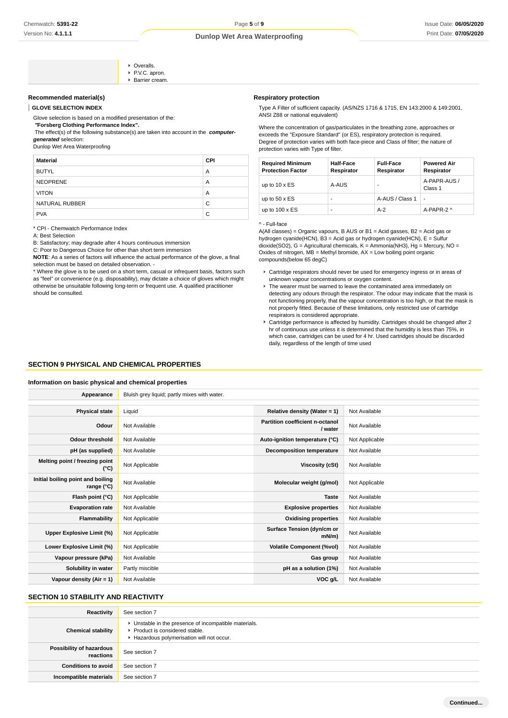#### **Recommended material(s)**

**GLOVE SELECTION INDEX**

#### Glove selection is based on a modified presentation of the:

 **"Forsberg Clothing Performance Index".**

The effect(s) of the following substance(s) are taken into account in the **computer-**

**Cyeralls** PVC. apron. Barrier cream.

**generated** selection:

Dunlop Wet Area Waterproofing

| <b>Material</b> | <b>CPI</b> |
|-----------------|------------|
| <b>BUTYL</b>    | A          |
| <b>NEOPRENE</b> | A          |
| <b>VITON</b>    | A          |
| NATURAL RUBBER  | C          |
| <b>PVA</b>      | C          |

\* CPI - Chemwatch Performance Index

A: Best Selection

B: Satisfactory; may degrade after 4 hours continuous immersion

C: Poor to Dangerous Choice for other than short term immersion

**NOTE**: As a series of factors will influence the actual performance of the glove, a final selection must be based on detailed observation. -

\* Where the glove is to be used on a short term, casual or infrequent basis, factors such as "feel" or convenience (e.g. disposability), may dictate a choice of gloves which might otherwise be unsuitable following long-term or frequent use. A qualified practitioner should be consulted.

# **Respiratory protection**

Type A Filter of sufficient capacity. (AS/NZS 1716 & 1715, EN 143:2000 & 149:2001, ANSI Z88 or national equivalent)

Where the concentration of gas/particulates in the breathing zone, approaches or exceeds the "Exposure Standard" (or ES), respiratory protection is required. Degree of protection varies with both face-piece and Class of filter; the nature of protection varies with Type of filter.

| <b>Required Minimum</b><br><b>Protection Factor</b> | <b>Half-Face</b><br>Respirator | <b>Full-Face</b><br>Respirator | <b>Powered Air</b><br>Respirator |
|-----------------------------------------------------|--------------------------------|--------------------------------|----------------------------------|
| up to $10 \times ES$                                | A-AUS                          | ۰                              | A-PAPR-AUS /<br>Class 1          |
| up to $50 \times ES$                                | ۰                              | A-AUS / Class 1                |                                  |
| up to $100 \times ES$                               | ۰                              | $A-2$                          | A-PAPR-2 ^                       |

#### ^ - Full-face

A(All classes) = Organic vapours, B AUS or B1 = Acid gasses, B2 = Acid gas or hydrogen cyanide(HCN), B3 = Acid gas or hydrogen cyanide(HCN), E = Sulfur dioxide(SO2), G = Agricultural chemicals, K = Ammonia(NH3), Hg = Mercury, NO = Oxides of nitrogen, MB = Methyl bromide, AX = Low boiling point organic compounds(below 65 degC)

- Cartridge respirators should never be used for emergency ingress or in areas of unknown vapour concentrations or oxygen content.
- ▶ The wearer must be warned to leave the contaminated area immediately on detecting any odours through the respirator. The odour may indicate that the mask is not functioning properly, that the vapour concentration is too high, or that the mask is not properly fitted. Because of these limitations, only restricted use of cartridge respirators is considered appropriate.
- Cartridge performance is affected by humidity. Cartridges should be changed after 2 hr of continuous use unless it is determined that the humidity is less than 75%, in which case, cartridges can be used for 4 hr. Used cartridges should be discarded daily, regardless of the length of time used

# **SECTION 9 PHYSICAL AND CHEMICAL PROPERTIES**

#### **Information on basic physical and chemical properties**

| Appearance                                      | Bluish grey liquid; partly mixes with water. |                                            |                |
|-------------------------------------------------|----------------------------------------------|--------------------------------------------|----------------|
|                                                 |                                              |                                            |                |
| <b>Physical state</b>                           | Liquid                                       | Relative density (Water = 1)               | Not Available  |
| Odour                                           | Not Available                                | Partition coefficient n-octanol<br>/ water | Not Available  |
| <b>Odour threshold</b>                          | Not Available                                | Auto-ignition temperature (°C)             | Not Applicable |
| pH (as supplied)                                | Not Available                                | <b>Decomposition temperature</b>           | Not Available  |
| Melting point / freezing point<br>(°C)          | Not Applicable                               | Viscosity (cSt)                            | Not Available  |
| Initial boiling point and boiling<br>range (°C) | Not Available                                | Molecular weight (g/mol)                   | Not Applicable |
| Flash point (°C)                                | Not Applicable                               | <b>Taste</b>                               | Not Available  |
| <b>Evaporation rate</b>                         | Not Available                                | <b>Explosive properties</b>                | Not Available  |
| Flammability                                    | Not Applicable                               | <b>Oxidising properties</b>                | Not Available  |
| <b>Upper Explosive Limit (%)</b>                | Not Applicable                               | Surface Tension (dyn/cm or<br>$mN/m$ )     | Not Available  |
| Lower Explosive Limit (%)                       | Not Applicable                               | <b>Volatile Component (%vol)</b>           | Not Available  |
| Vapour pressure (kPa)                           | Not Available                                | Gas group                                  | Not Available  |
| Solubility in water                             | Partly miscible                              | pH as a solution (1%)                      | Not Available  |
| Vapour density (Air = 1)                        | Not Available                                | VOC g/L                                    | Not Available  |

# **SECTION 10 STABILITY AND REACTIVITY**

| Reactivity                                   | See section 7                                                                                                                        |
|----------------------------------------------|--------------------------------------------------------------------------------------------------------------------------------------|
| <b>Chemical stability</b>                    | • Unstable in the presence of incompatible materials.<br>▶ Product is considered stable.<br>Hazardous polymerisation will not occur. |
| <b>Possibility of hazardous</b><br>reactions | See section 7                                                                                                                        |
| <b>Conditions to avoid</b>                   | See section 7                                                                                                                        |
| Incompatible materials                       | See section 7                                                                                                                        |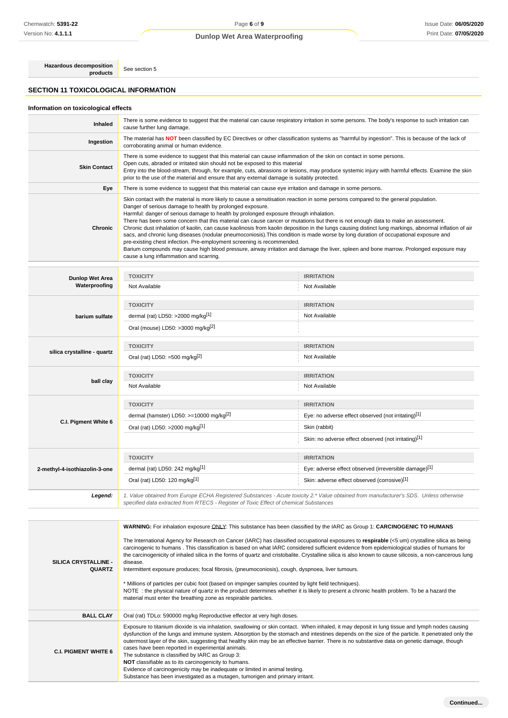# Page **6** of **9 Dunlop Wet Area Waterproofing**

**Hazardous decomposition**<br> **products** See section 5

# **SECTION 11 TOXICOLOGICAL INFORMATION**

# **Information on toxicological effects**

| Inhaled             | There is some evidence to suggest that the material can cause respiratory irritation in some persons. The body's response to such irritation can<br>cause further lung damage.                                                                                                                                                                                                                                                                                                                                                                                                                                                                                                                                                                                                                                                                                                                                                                                                                |
|---------------------|-----------------------------------------------------------------------------------------------------------------------------------------------------------------------------------------------------------------------------------------------------------------------------------------------------------------------------------------------------------------------------------------------------------------------------------------------------------------------------------------------------------------------------------------------------------------------------------------------------------------------------------------------------------------------------------------------------------------------------------------------------------------------------------------------------------------------------------------------------------------------------------------------------------------------------------------------------------------------------------------------|
| Ingestion           | The material has NOT been classified by EC Directives or other classification systems as "harmful by ingestion". This is because of the lack of<br>corroborating animal or human evidence.                                                                                                                                                                                                                                                                                                                                                                                                                                                                                                                                                                                                                                                                                                                                                                                                    |
| <b>Skin Contact</b> | There is some evidence to suggest that this material can cause inflammation of the skin on contact in some persons.<br>Open cuts, abraded or irritated skin should not be exposed to this material<br>Entry into the blood-stream, through, for example, cuts, abrasions or lesions, may produce systemic injury with harmful effects. Examine the skin<br>prior to the use of the material and ensure that any external damage is suitably protected.                                                                                                                                                                                                                                                                                                                                                                                                                                                                                                                                        |
| Eye                 | There is some evidence to suggest that this material can cause eye irritation and damage in some persons.                                                                                                                                                                                                                                                                                                                                                                                                                                                                                                                                                                                                                                                                                                                                                                                                                                                                                     |
| <b>Chronic</b>      | Skin contact with the material is more likely to cause a sensitisation reaction in some persons compared to the general population.<br>Danger of serious damage to health by prolonged exposure.<br>Harmful: danger of serious damage to health by prolonged exposure through inhalation.<br>There has been some concern that this material can cause cancer or mutations but there is not enough data to make an assessment.<br>Chronic dust inhalation of kaolin, can cause kaolinosis from kaolin deposition in the lungs causing distinct lung markings, abnormal inflation of air<br>sacs, and chronic lung diseases (nodular pneumoconiosis). This condition is made worse by long duration of occupational exposure and<br>pre-existing chest infection. Pre-employment screening is recommended.<br>Barium compounds may cause high blood pressure, airway irritation and damage the liver, spleen and bone marrow. Prolonged exposure may<br>cause a lung inflammation and scarring. |

| Dunlop Wet Area               | <b>TOXICITY</b>                                                                       | <b>IRRITATION</b>                                                                                                                      |
|-------------------------------|---------------------------------------------------------------------------------------|----------------------------------------------------------------------------------------------------------------------------------------|
| Waterproofing                 | Not Available                                                                         | Not Available                                                                                                                          |
|                               | <b>TOXICITY</b>                                                                       | <b>IRRITATION</b>                                                                                                                      |
| barium sulfate                | dermal (rat) LD50: >2000 mg/kg <sup>[1]</sup>                                         | Not Available                                                                                                                          |
|                               | Oral (mouse) LD50: >3000 mg/kg <sup>[2]</sup>                                         |                                                                                                                                        |
|                               | <b>TOXICITY</b>                                                                       | <b>IRRITATION</b>                                                                                                                      |
| silica crystalline - quartz   | Oral (rat) LD50: =500 mg/kg $[2]$                                                     | Not Available                                                                                                                          |
|                               | <b>TOXICITY</b>                                                                       | <b>IRRITATION</b>                                                                                                                      |
| ball clay                     | Not Available                                                                         | Not Available                                                                                                                          |
|                               | <b>TOXICITY</b>                                                                       | <b>IRRITATION</b>                                                                                                                      |
|                               | dermal (hamster) LD50: $>=10000$ mg/kg <sup>[2]</sup>                                 | Eye: no adverse effect observed (not irritating)[1]                                                                                    |
| C.I. Pigment White 6          | Oral (rat) LD50: >2000 mg/kg[1]                                                       | Skin (rabbit)                                                                                                                          |
|                               |                                                                                       | Skin: no adverse effect observed (not irritating)[1]                                                                                   |
|                               | <b>TOXICITY</b>                                                                       | <b>IRRITATION</b>                                                                                                                      |
| 2-methyl-4-isothiazolin-3-one | dermal (rat) LD50: 242 mg/kg[1]                                                       | Eye: adverse effect observed (irreversible damage)[1]                                                                                  |
|                               | Oral (rat) LD50: 120 mg/kg[1]                                                         | Skin: adverse effect observed (corrosive)[1]                                                                                           |
| Legend:                       | specified data extracted from RTECS - Register of Toxic Effect of chemical Substances | 1. Value obtained from Europe ECHA Registered Substances - Acute toxicity 2.* Value obtained from manufacturer's SDS. Unless otherwise |

| SILICA CRYSTALLINE -<br><b>QUARTZ</b> | WARNING: For inhalation exposure ONLY: This substance has been classified by the IARC as Group 1: CARCINOGENIC TO HUMANS<br>The International Agency for Research on Cancer (IARC) has classified occupational exposures to respirable (<5 um) crystalline silica as being<br>carcinogenic to humans. This classification is based on what IARC considered sufficient evidence from epidemiological studies of humans for<br>the carcinogenicity of inhaled silica in the forms of quartz and cristobalite. Crystalline silica is also known to cause silicosis, a non-cancerous lung<br>disease.<br>Intermittent exposure produces; focal fibrosis, (pneumoconiosis), cough, dyspnoea, liver tumours.<br>* Millions of particles per cubic foot (based on impinger samples counted by light field techniques).<br>NOTE: the physical nature of quartz in the product determines whether it is likely to present a chronic health problem. To be a hazard the<br>material must enter the breathing zone as respirable particles. |
|---------------------------------------|----------------------------------------------------------------------------------------------------------------------------------------------------------------------------------------------------------------------------------------------------------------------------------------------------------------------------------------------------------------------------------------------------------------------------------------------------------------------------------------------------------------------------------------------------------------------------------------------------------------------------------------------------------------------------------------------------------------------------------------------------------------------------------------------------------------------------------------------------------------------------------------------------------------------------------------------------------------------------------------------------------------------------------|
| <b>BALL CLAY</b>                      | Oral (rat) TDLo: 590000 mg/kg Reproductive effector at very high doses.                                                                                                                                                                                                                                                                                                                                                                                                                                                                                                                                                                                                                                                                                                                                                                                                                                                                                                                                                          |
| <b>C.I. PIGMENT WHITE 6</b>           | Exposure to titanium dioxide is via inhalation, swallowing or skin contact. When inhaled, it may deposit in lung tissue and lymph nodes causing<br>dysfunction of the lungs and immune system. Absorption by the stomach and intestines depends on the size of the particle. It penetrated only the<br>outermost layer of the skin, suggesting that healthy skin may be an effective barrier. There is no substantive data on genetic damage, though<br>cases have been reported in experimental animals.<br>The substance is classified by IARC as Group 3:<br>NOT classifiable as to its carcinogenicity to humans.<br>Evidence of carcinogenicity may be inadequate or limited in animal testing.<br>Substance has been investigated as a mutagen, tumorigen and primary irritant.                                                                                                                                                                                                                                            |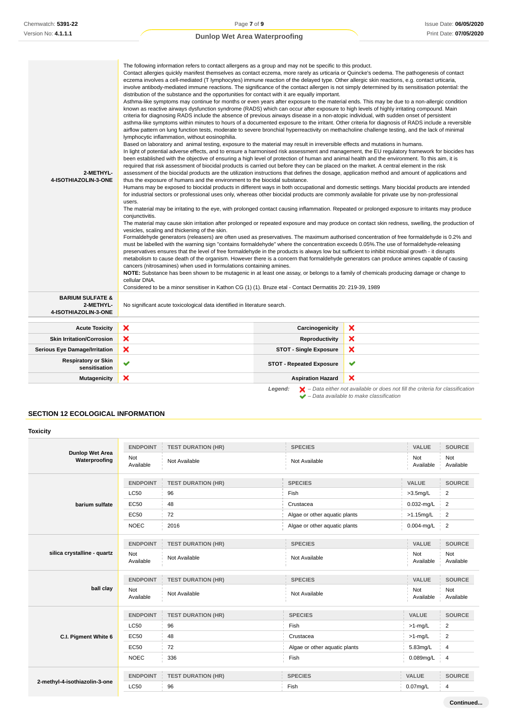| 2-METHYL-<br>4-ISOTHIAZOLIN-3-ONE                                | eczema involves a cell-mediated (T lymphocytes) immune reaction of the delayed type. Other allergic skin reactions, e.g. contact urticaria,<br>involve antibody-mediated immune reactions. The significance of the contact allergen is not simply determined by its sensitisation potential: the<br>distribution of the substance and the opportunities for contact with it are equally important.<br>Asthma-like symptoms may continue for months or even years after exposure to the material ends. This may be due to a non-allergic condition<br>known as reactive airways dysfunction syndrome (RADS) which can occur after exposure to high levels of highly irritating compound. Main<br>criteria for diagnosing RADS include the absence of previous airways disease in a non-atopic individual, with sudden onset of persistent<br>asthma-like symptoms within minutes to hours of a documented exposure to the irritant. Other criteria for diagnosis of RADS include a reversible<br>airflow pattern on lung function tests, moderate to severe bronchial hyperreactivity on methacholine challenge testing, and the lack of minimal<br>lymphocytic inflammation, without eosinophilia.<br>Based on laboratory and animal testing, exposure to the material may result in irreversible effects and mutations in humans.<br>In light of potential adverse effects, and to ensure a harmonised risk assessment and management, the EU regulatory framework for biocides has<br>been established with the objective of ensuring a high level of protection of human and animal health and the environment. To this aim, it is<br>required that risk assessment of biocidal products is carried out before they can be placed on the market. A central element in the risk<br>assessment of the biocidal products are the utilization instructions that defines the dosage, application method and amount of applications and<br>thus the exposure of humans and the environment to the biocidal substance.<br>Humans may be exposed to biocidal products in different ways in both occupational and domestic settings. Many biocidal products are intended<br>for industrial sectors or professional uses only, whereas other biocidal products are commonly available for private use by non-professional<br>users.<br>The material may be irritating to the eye, with prolonged contact causing inflammation. Repeated or prolonged exposure to irritants may produce<br>conjunctivitis.<br>The material may cause skin irritation after prolonged or repeated exposure and may produce on contact skin redness, swelling, the production of<br>vesicles, scaling and thickening of the skin.<br>Formaldehyde generators (releasers) are often used as preservatives. The maximum authorised concentration of free formaldehyde is 0.2% and<br>must be labelled with the warning sign "contains formaldehyde" where the concentration exceeds 0.05%. The use of formaldehyde-releasing<br>preservatives ensures that the level of free formaldehyde in the products is always low but sufficient to inhibit microbial growth - it disrupts<br>metabolism to cause death of the organism. However there is a concern that formaldehyde generators can produce amines capable of causing<br>cancers (nitrosamines) when used in formulations containing amines.<br>NOTE: Substance has been shown to be mutagenic in at least one assay, or belongs to a family of chemicals producing damage or change to<br>cellular DNA.<br>Considered to be a minor sensitiser in Kathon CG (1) (1). Bruze etal - Contact Dermatitis 20: 219-39, 1989 |                                 | The following information refers to contact allergens as a group and may not be specific to this product.<br>Contact allergies quickly manifest themselves as contact eczema, more rarely as urticaria or Quincke's oedema. The pathogenesis of contact |
|------------------------------------------------------------------|---------------------------------------------------------------------------------------------------------------------------------------------------------------------------------------------------------------------------------------------------------------------------------------------------------------------------------------------------------------------------------------------------------------------------------------------------------------------------------------------------------------------------------------------------------------------------------------------------------------------------------------------------------------------------------------------------------------------------------------------------------------------------------------------------------------------------------------------------------------------------------------------------------------------------------------------------------------------------------------------------------------------------------------------------------------------------------------------------------------------------------------------------------------------------------------------------------------------------------------------------------------------------------------------------------------------------------------------------------------------------------------------------------------------------------------------------------------------------------------------------------------------------------------------------------------------------------------------------------------------------------------------------------------------------------------------------------------------------------------------------------------------------------------------------------------------------------------------------------------------------------------------------------------------------------------------------------------------------------------------------------------------------------------------------------------------------------------------------------------------------------------------------------------------------------------------------------------------------------------------------------------------------------------------------------------------------------------------------------------------------------------------------------------------------------------------------------------------------------------------------------------------------------------------------------------------------------------------------------------------------------------------------------------------------------------------------------------------------------------------------------------------------------------------------------------------------------------------------------------------------------------------------------------------------------------------------------------------------------------------------------------------------------------------------------------------------------------------------------------------------------------------------------------------------------------------------------------------------------------------------------------------------------------------------------------------------------------------------------------------------------------------------------------------------------------------------------------------------------------------------------------------------------------------------------------------------------------------------------------------------------------------------|---------------------------------|---------------------------------------------------------------------------------------------------------------------------------------------------------------------------------------------------------------------------------------------------------|
| <b>BARIUM SULFATE &amp;</b><br>2-METHYL-<br>4-ISOTHIAZOLIN-3-ONE | No significant acute toxicological data identified in literature search.                                                                                                                                                                                                                                                                                                                                                                                                                                                                                                                                                                                                                                                                                                                                                                                                                                                                                                                                                                                                                                                                                                                                                                                                                                                                                                                                                                                                                                                                                                                                                                                                                                                                                                                                                                                                                                                                                                                                                                                                                                                                                                                                                                                                                                                                                                                                                                                                                                                                                                                                                                                                                                                                                                                                                                                                                                                                                                                                                                                                                                                                                                                                                                                                                                                                                                                                                                                                                                                                                                                                                                          |                                 |                                                                                                                                                                                                                                                         |
| <b>Acute Toxicity</b>                                            | ×                                                                                                                                                                                                                                                                                                                                                                                                                                                                                                                                                                                                                                                                                                                                                                                                                                                                                                                                                                                                                                                                                                                                                                                                                                                                                                                                                                                                                                                                                                                                                                                                                                                                                                                                                                                                                                                                                                                                                                                                                                                                                                                                                                                                                                                                                                                                                                                                                                                                                                                                                                                                                                                                                                                                                                                                                                                                                                                                                                                                                                                                                                                                                                                                                                                                                                                                                                                                                                                                                                                                                                                                                                                 | Carcinogenicity                 | ×                                                                                                                                                                                                                                                       |
| <b>Skin Irritation/Corrosion</b>                                 | ×                                                                                                                                                                                                                                                                                                                                                                                                                                                                                                                                                                                                                                                                                                                                                                                                                                                                                                                                                                                                                                                                                                                                                                                                                                                                                                                                                                                                                                                                                                                                                                                                                                                                                                                                                                                                                                                                                                                                                                                                                                                                                                                                                                                                                                                                                                                                                                                                                                                                                                                                                                                                                                                                                                                                                                                                                                                                                                                                                                                                                                                                                                                                                                                                                                                                                                                                                                                                                                                                                                                                                                                                                                                 | Reproductivity                  | ×                                                                                                                                                                                                                                                       |
| <b>Serious Eye Damage/Irritation</b>                             | ×                                                                                                                                                                                                                                                                                                                                                                                                                                                                                                                                                                                                                                                                                                                                                                                                                                                                                                                                                                                                                                                                                                                                                                                                                                                                                                                                                                                                                                                                                                                                                                                                                                                                                                                                                                                                                                                                                                                                                                                                                                                                                                                                                                                                                                                                                                                                                                                                                                                                                                                                                                                                                                                                                                                                                                                                                                                                                                                                                                                                                                                                                                                                                                                                                                                                                                                                                                                                                                                                                                                                                                                                                                                 | <b>STOT - Single Exposure</b>   | ×                                                                                                                                                                                                                                                       |
| <b>Respiratory or Skin</b><br>sensitisation                      | ✔                                                                                                                                                                                                                                                                                                                                                                                                                                                                                                                                                                                                                                                                                                                                                                                                                                                                                                                                                                                                                                                                                                                                                                                                                                                                                                                                                                                                                                                                                                                                                                                                                                                                                                                                                                                                                                                                                                                                                                                                                                                                                                                                                                                                                                                                                                                                                                                                                                                                                                                                                                                                                                                                                                                                                                                                                                                                                                                                                                                                                                                                                                                                                                                                                                                                                                                                                                                                                                                                                                                                                                                                                                                 | <b>STOT - Repeated Exposure</b> | ✔                                                                                                                                                                                                                                                       |
| <b>Mutagenicity</b>                                              | ×                                                                                                                                                                                                                                                                                                                                                                                                                                                                                                                                                                                                                                                                                                                                                                                                                                                                                                                                                                                                                                                                                                                                                                                                                                                                                                                                                                                                                                                                                                                                                                                                                                                                                                                                                                                                                                                                                                                                                                                                                                                                                                                                                                                                                                                                                                                                                                                                                                                                                                                                                                                                                                                                                                                                                                                                                                                                                                                                                                                                                                                                                                                                                                                                                                                                                                                                                                                                                                                                                                                                                                                                                                                 | <b>Aspiration Hazard</b>        | ×                                                                                                                                                                                                                                                       |

**Legend:**  $\mathbf{X}$  – Data either not available or does not fill the criteria for classification – Data available to make classification

# **SECTION 12 ECOLOGICAL INFORMATION**

| <b>Toxicity</b>               |                  |                           |                               |                  |                  |
|-------------------------------|------------------|---------------------------|-------------------------------|------------------|------------------|
| <b>Dunlop Wet Area</b>        | <b>ENDPOINT</b>  | <b>TEST DURATION (HR)</b> | <b>SPECIES</b>                | <b>VALUE</b>     | <b>SOURCE</b>    |
| Waterproofing                 | Not<br>Available | Not Available             | Not Available                 | Not<br>Available | Not<br>Available |
|                               | <b>ENDPOINT</b>  | <b>TEST DURATION (HR)</b> | <b>SPECIES</b>                | VALUE            | <b>SOURCE</b>    |
|                               | <b>LC50</b>      | 96                        | Fish                          | $>3.5$ mg/L      | $\overline{2}$   |
| barium sulfate                | <b>EC50</b>      | 48                        | Crustacea                     | $0.032$ -mg/L    | $\overline{2}$   |
|                               | EC50             | 72                        | Algae or other aquatic plants | $>1.15$ mg/L     | $\overline{2}$   |
|                               | <b>NOEC</b>      | 2016                      | Algae or other aquatic plants | $0.004$ -mg/L    | $\overline{2}$   |
|                               | <b>ENDPOINT</b>  | <b>TEST DURATION (HR)</b> | <b>SPECIES</b>                | <b>VALUE</b>     | <b>SOURCE</b>    |
| silica crystalline - quartz   | Not<br>Available | Not Available             | Not Available                 | Not<br>Available | Not<br>Available |
|                               | <b>ENDPOINT</b>  | <b>TEST DURATION (HR)</b> | <b>SPECIES</b>                | VALUE            | <b>SOURCE</b>    |
| ball clay                     | Not<br>Available | Not Available             | Not Available                 | Not<br>Available | Not<br>Available |
|                               | <b>ENDPOINT</b>  | <b>TEST DURATION (HR)</b> | <b>SPECIES</b>                | VALUE            | <b>SOURCE</b>    |
|                               | <b>LC50</b>      | 96                        | Fish                          | $>1$ -mg/L       | $\overline{2}$   |
| C.I. Pigment White 6          | <b>EC50</b>      | 48                        | Crustacea                     | $>1$ -mg/L       | $\overline{2}$   |
|                               | <b>EC50</b>      | 72                        | Algae or other aquatic plants | 5.83mg/L         | 4                |
|                               | <b>NOEC</b>      | 336                       | Fish                          | 0.089mg/L        | $\overline{4}$   |
|                               | <b>ENDPOINT</b>  | <b>TEST DURATION (HR)</b> | <b>SPECIES</b>                | <b>VALUE</b>     | <b>SOURCE</b>    |
| 2-methyl-4-isothiazolin-3-one | <b>LC50</b>      | 96                        | Fish                          | $0.07$ mg/L      | 4                |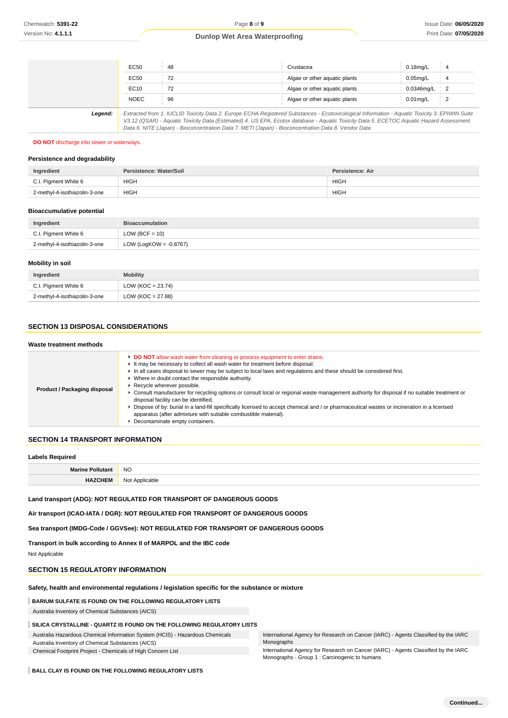|         | EC50        | 48                                                                                                                                                                                                                                                                                       | Crustacea                     | $0.18$ ma/L |                            |
|---------|-------------|------------------------------------------------------------------------------------------------------------------------------------------------------------------------------------------------------------------------------------------------------------------------------------------|-------------------------------|-------------|----------------------------|
|         | EC50        | 72                                                                                                                                                                                                                                                                                       | Algae or other aguatic plants | $0.05$ ma/L |                            |
|         | EC10        | 72                                                                                                                                                                                                                                                                                       | Algae or other aguatic plants | 0.0346mg/L  | $\frac{1}{2}$              |
|         | <b>NOEC</b> | 96                                                                                                                                                                                                                                                                                       | Algae or other aguatic plants | $0.01$ ma/L | $\overline{\phantom{0}}^2$ |
| Legend: |             | Extracted from 1. IUCLID Toxicity Data 2. Europe ECHA Registered Substances - Ecotoxicological Information - Aquatic Toxicity 3. EPIWIN Suite<br>V3.12 (QSAR) - Aquatic Toxicity Data (Estimated) 4. US EPA, Ecotox database - Aquatic Toxicity Data 5. ECETOC Aquatic Hazard Assessment |                               |             |                            |
|         |             | Data 6. NITE (Japan) - Bioconcentration Data 7. METI (Japan) - Bioconcentration Data 8. Vendor Data                                                                                                                                                                                      |                               |             |                            |

**DO NOT** discharge into sewer or waterways.

#### **Persistence and degradability**

| Ingredient                    | Persistence: Water/Soil | Persistence: Air |
|-------------------------------|-------------------------|------------------|
| C.I. Pigment White 6          | <b>HIGH</b>             | <b>HIGH</b>      |
| 2-methyl-4-isothiazolin-3-one | <b>HIGH</b>             | <b>HIGH</b>      |

#### **Bioaccumulative potential**

| Ingredient                    | <b>Bioaccumulation</b>    |
|-------------------------------|---------------------------|
| C.I. Pigment White 6          | $LOW (BCF = 10)$          |
| 2-methyl-4-isothiazolin-3-one | LOW (LogKOW = $-0.8767$ ) |

#### **Mobility in soil**

| Ingredient                    | <b>Mobility</b>       |
|-------------------------------|-----------------------|
| C.I. Pigment White 6          | LOW ( $KOC = 23.74$ ) |
| 2-methyl-4-isothiazolin-3-one | $LOW (KOC = 27.88)$   |

# **SECTION 13 DISPOSAL CONSIDERATIONS**

# **Waste treatment methods**

| Product / Packaging disposal | <b>DO NOT</b> allow wash water from cleaning or process equipment to enter drains.<br>It may be necessary to collect all wash water for treatment before disposal.<br>In all cases disposal to sewer may be subject to local laws and regulations and these should be considered first.<br>Where in doubt contact the responsible authority.<br>Recycle wherever possible.<br>Consult manufacturer for recycling options or consult local or regional waste management authority for disposal if no suitable treatment or<br>disposal facility can be identified.<br>Dispose of by: burial in a land-fill specifically licensed to accept chemical and / or pharmaceutical wastes or incineration in a licensed<br>apparatus (after admixture with suitable combustible material).<br>Decontaminate empty containers. |
|------------------------------|-----------------------------------------------------------------------------------------------------------------------------------------------------------------------------------------------------------------------------------------------------------------------------------------------------------------------------------------------------------------------------------------------------------------------------------------------------------------------------------------------------------------------------------------------------------------------------------------------------------------------------------------------------------------------------------------------------------------------------------------------------------------------------------------------------------------------|

# **SECTION 14 TRANSPORT INFORMATION**

#### **Labels Required**

| --------------- |                                       |  |
|-----------------|---------------------------------------|--|
|                 | <b>NO</b>                             |  |
|                 | N <sub>nt</sub><br>Applicable<br>IVUI |  |

**Land transport (ADG): NOT REGULATED FOR TRANSPORT OF DANGEROUS GOODS**

**Air transport (ICAO-IATA / DGR): NOT REGULATED FOR TRANSPORT OF DANGEROUS GOODS**

**Sea transport (IMDG-Code / GGVSee): NOT REGULATED FOR TRANSPORT OF DANGEROUS GOODS**

**Transport in bulk according to Annex II of MARPOL and the IBC code**

Not Applicable

#### **SECTION 15 REGULATORY INFORMATION**

# **Safety, health and environmental regulations / legislation specific for the substance or mixture**

**BARIUM SULFATE IS FOUND ON THE FOLLOWING REGULATORY LISTS**

Australia Inventory of Chemical Substances (AICS)

# **SILICA CRYSTALLINE - QUARTZ IS FOUND ON THE FOLLOWING REGULATORY LISTS**

Australia Hazardous Chemical Information System (HCIS) - Hazardous Chemicals

Australia Inventory of Chemical Substances (AICS)

Chemical Footprint Project - Chemicals of High Concern List

International Agency for Research on Cancer (IARC) - Agents Classified by the IARC Monographs

International Agency for Research on Cancer (IARC) - Agents Classified by the IARC Monographs - Group 1 : Carcinogenic to humans

**BALL CLAY IS FOUND ON THE FOLLOWING REGULATORY LISTS**